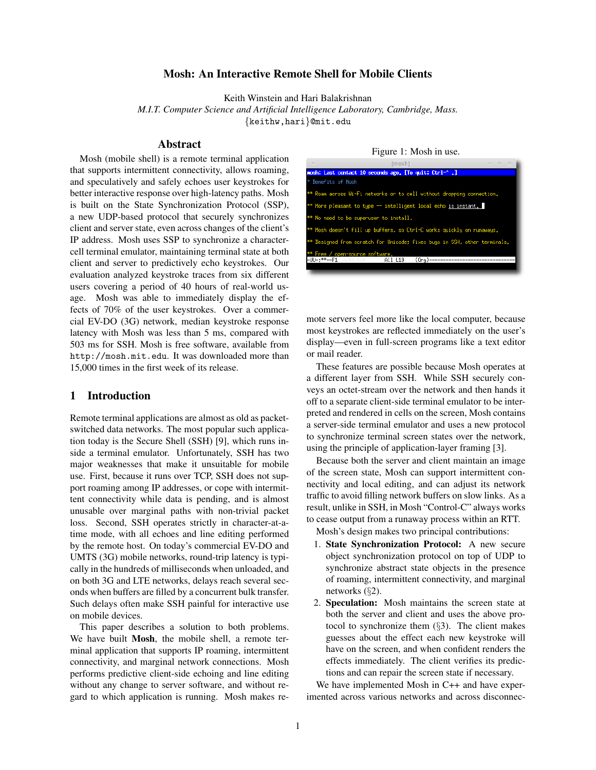## Mosh: An Interactive Remote Shell for Mobile Clients

Keith Winstein and Hari Balakrishnan

*M.I.T. Computer Science and Artificial Intelligence Laboratory, Cambridge, Mass.*

{keithw,hari}@mit.edu

# Abstract

Mosh (mobile shell) is a remote terminal application that supports intermittent connectivity, allows roaming, and speculatively and safely echoes user keystrokes for better interactive response over high-latency paths. Mosh is built on the State Synchronization Protocol (SSP), a new UDP-based protocol that securely synchronizes client and server state, even across changes of the client's IP address. Mosh uses SSP to synchronize a charactercell terminal emulator, maintaining terminal state at both client and server to predictively echo keystrokes. Our evaluation analyzed keystroke traces from six different users covering a period of 40 hours of real-world usage. Mosh was able to immediately display the effects of 70% of the user keystrokes. Over a commercial EV-DO (3G) network, median keystroke response latency with Mosh was less than 5 ms, compared with 503 ms for SSH. Mosh is free software, available from http://mosh.mit.edu. It was downloaded more than 15,000 times in the first week of its release.

## 1 Introduction

Remote terminal applications are almost as old as packetswitched data networks. The most popular such application today is the Secure Shell (SSH) [9], which runs inside a terminal emulator. Unfortunately, SSH has two major weaknesses that make it unsuitable for mobile use. First, because it runs over TCP, SSH does not support roaming among IP addresses, or cope with intermittent connectivity while data is pending, and is almost unusable over marginal paths with non-trivial packet loss. Second, SSH operates strictly in character-at-atime mode, with all echoes and line editing performed by the remote host. On today's commercial EV-DO and UMTS (3G) mobile networks, round-trip latency is typically in the hundreds of milliseconds when unloaded, and on both 3G and LTE networks, delays reach several seconds when buffers are filled by a concurrent bulk transfer. Such delays often make SSH painful for interactive use on mobile devices.

This paper describes a solution to both problems. We have built Mosh, the mobile shell, a remote terminal application that supports IP roaming, intermittent connectivity, and marginal network connections. Mosh performs predictive client-side echoing and line editing without any change to server software, and without regard to which application is running. Mosh makes re-

#### Figure 1: Mosh in use.



mote servers feel more like the local computer, because most keystrokes are reflected immediately on the user's display—even in full-screen programs like a text editor or mail reader.

These features are possible because Mosh operates at a different layer from SSH. While SSH securely conveys an octet-stream over the network and then hands it off to a separate client-side terminal emulator to be interpreted and rendered in cells on the screen, Mosh contains a server-side terminal emulator and uses a new protocol to synchronize terminal screen states over the network, using the principle of application-layer framing [3].

Because both the server and client maintain an image of the screen state, Mosh can support intermittent connectivity and local editing, and can adjust its network traffic to avoid filling network buffers on slow links. As a result, unlike in SSH, in Mosh "Control-C" always works to cease output from a runaway process within an RTT.

Mosh's design makes two principal contributions:

- 1. State Synchronization Protocol: A new secure object synchronization protocol on top of UDP to synchronize abstract state objects in the presence of roaming, intermittent connectivity, and marginal networks (§2).
- 2. Speculation: Mosh maintains the screen state at both the server and client and uses the above protocol to synchronize them  $(\S3)$ . The client makes guesses about the effect each new keystroke will have on the screen, and when confident renders the effects immediately. The client verifies its predictions and can repair the screen state if necessary.

We have implemented Mosh in C++ and have experimented across various networks and across disconnec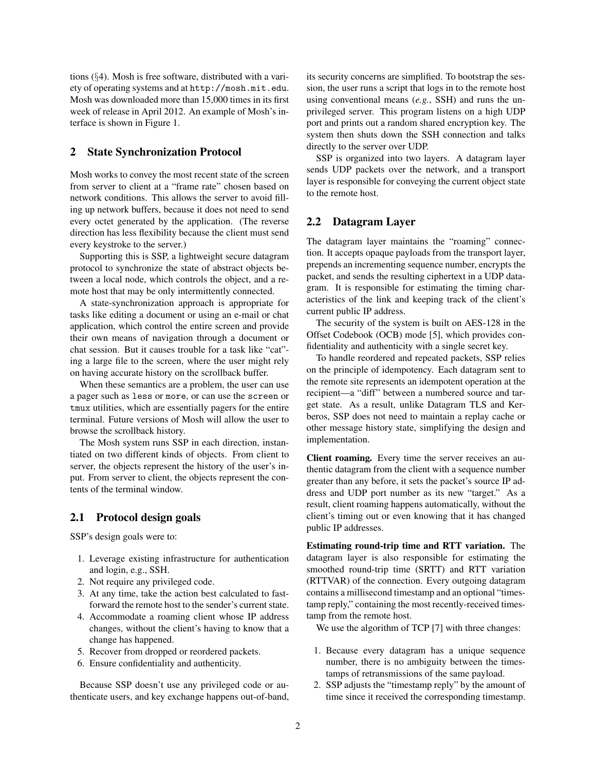tions (§4). Mosh is free software, distributed with a variety of operating systems and at http://mosh.mit.edu. Mosh was downloaded more than 15,000 times in its first week of release in April 2012. An example of Mosh's interface is shown in Figure 1.

### 2 State Synchronization Protocol

Mosh works to convey the most recent state of the screen from server to client at a "frame rate" chosen based on network conditions. This allows the server to avoid filling up network buffers, because it does not need to send every octet generated by the application. (The reverse direction has less flexibility because the client must send every keystroke to the server.)

Supporting this is SSP, a lightweight secure datagram protocol to synchronize the state of abstract objects between a local node, which controls the object, and a remote host that may be only intermittently connected.

A state-synchronization approach is appropriate for tasks like editing a document or using an e-mail or chat application, which control the entire screen and provide their own means of navigation through a document or chat session. But it causes trouble for a task like "cat" ing a large file to the screen, where the user might rely on having accurate history on the scrollback buffer.

When these semantics are a problem, the user can use a pager such as less or more, or can use the screen or tmux utilities, which are essentially pagers for the entire terminal. Future versions of Mosh will allow the user to browse the scrollback history.

The Mosh system runs SSP in each direction, instantiated on two different kinds of objects. From client to server, the objects represent the history of the user's input. From server to client, the objects represent the contents of the terminal window.

### 2.1 Protocol design goals

SSP's design goals were to:

- 1. Leverage existing infrastructure for authentication and login, e.g., SSH.
- 2. Not require any privileged code.
- 3. At any time, take the action best calculated to fastforward the remote host to the sender's current state.
- 4. Accommodate a roaming client whose IP address changes, without the client's having to know that a change has happened.
- 5. Recover from dropped or reordered packets.
- 6. Ensure confidentiality and authenticity.

Because SSP doesn't use any privileged code or authenticate users, and key exchange happens out-of-band, its security concerns are simplified. To bootstrap the session, the user runs a script that logs in to the remote host using conventional means (*e.g.*, SSH) and runs the unprivileged server. This program listens on a high UDP port and prints out a random shared encryption key. The system then shuts down the SSH connection and talks directly to the server over UDP.

SSP is organized into two layers. A datagram layer sends UDP packets over the network, and a transport layer is responsible for conveying the current object state to the remote host.

### 2.2 Datagram Layer

The datagram layer maintains the "roaming" connection. It accepts opaque payloads from the transport layer, prepends an incrementing sequence number, encrypts the packet, and sends the resulting ciphertext in a UDP datagram. It is responsible for estimating the timing characteristics of the link and keeping track of the client's current public IP address.

The security of the system is built on AES-128 in the Offset Codebook (OCB) mode [5], which provides confidentiality and authenticity with a single secret key.

To handle reordered and repeated packets, SSP relies on the principle of idempotency. Each datagram sent to the remote site represents an idempotent operation at the recipient—a "diff" between a numbered source and target state. As a result, unlike Datagram TLS and Kerberos, SSP does not need to maintain a replay cache or other message history state, simplifying the design and implementation.

Client roaming. Every time the server receives an authentic datagram from the client with a sequence number greater than any before, it sets the packet's source IP address and UDP port number as its new "target." As a result, client roaming happens automatically, without the client's timing out or even knowing that it has changed public IP addresses.

Estimating round-trip time and RTT variation. The datagram layer is also responsible for estimating the smoothed round-trip time (SRTT) and RTT variation (RTTVAR) of the connection. Every outgoing datagram contains a millisecond timestamp and an optional "timestamp reply," containing the most recently-received timestamp from the remote host.

We use the algorithm of TCP [7] with three changes:

- 1. Because every datagram has a unique sequence number, there is no ambiguity between the timestamps of retransmissions of the same payload.
- 2. SSP adjusts the "timestamp reply" by the amount of time since it received the corresponding timestamp.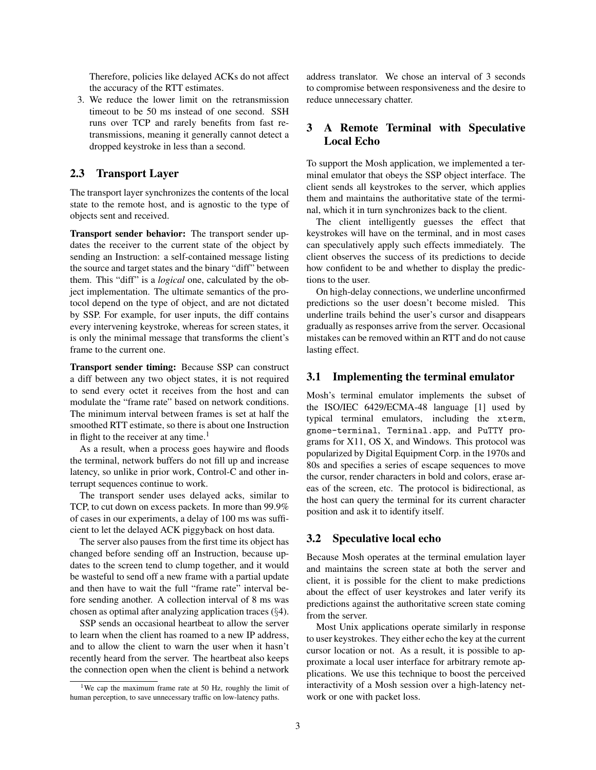Therefore, policies like delayed ACKs do not affect the accuracy of the RTT estimates.

3. We reduce the lower limit on the retransmission timeout to be 50 ms instead of one second. SSH runs over TCP and rarely benefits from fast retransmissions, meaning it generally cannot detect a dropped keystroke in less than a second.

### 2.3 Transport Layer

The transport layer synchronizes the contents of the local state to the remote host, and is agnostic to the type of objects sent and received.

Transport sender behavior: The transport sender updates the receiver to the current state of the object by sending an Instruction: a self-contained message listing the source and target states and the binary "diff" between them. This "diff" is a *logical* one, calculated by the object implementation. The ultimate semantics of the protocol depend on the type of object, and are not dictated by SSP. For example, for user inputs, the diff contains every intervening keystroke, whereas for screen states, it is only the minimal message that transforms the client's frame to the current one.

Transport sender timing: Because SSP can construct a diff between any two object states, it is not required to send every octet it receives from the host and can modulate the "frame rate" based on network conditions. The minimum interval between frames is set at half the smoothed RTT estimate, so there is about one Instruction in flight to the receiver at any time.<sup>1</sup>

As a result, when a process goes haywire and floods the terminal, network buffers do not fill up and increase latency, so unlike in prior work, Control-C and other interrupt sequences continue to work.

The transport sender uses delayed acks, similar to TCP, to cut down on excess packets. In more than 99.9% of cases in our experiments, a delay of 100 ms was sufficient to let the delayed ACK piggyback on host data.

The server also pauses from the first time its object has changed before sending off an Instruction, because updates to the screen tend to clump together, and it would be wasteful to send off a new frame with a partial update and then have to wait the full "frame rate" interval before sending another. A collection interval of 8 ms was chosen as optimal after analyzing application traces (§4).

SSP sends an occasional heartbeat to allow the server to learn when the client has roamed to a new IP address, and to allow the client to warn the user when it hasn't recently heard from the server. The heartbeat also keeps the connection open when the client is behind a network address translator. We chose an interval of 3 seconds to compromise between responsiveness and the desire to reduce unnecessary chatter.

## 3 A Remote Terminal with Speculative Local Echo

To support the Mosh application, we implemented a terminal emulator that obeys the SSP object interface. The client sends all keystrokes to the server, which applies them and maintains the authoritative state of the terminal, which it in turn synchronizes back to the client.

The client intelligently guesses the effect that keystrokes will have on the terminal, and in most cases can speculatively apply such effects immediately. The client observes the success of its predictions to decide how confident to be and whether to display the predictions to the user.

On high-delay connections, we underline unconfirmed predictions so the user doesn't become misled. This underline trails behind the user's cursor and disappears gradually as responses arrive from the server. Occasional mistakes can be removed within an RTT and do not cause lasting effect.

### 3.1 Implementing the terminal emulator

Mosh's terminal emulator implements the subset of the ISO/IEC 6429/ECMA-48 language [1] used by typical terminal emulators, including the xterm, gnome-terminal, Terminal.app, and PuTTY programs for X11, OS X, and Windows. This protocol was popularized by Digital Equipment Corp. in the 1970s and 80s and specifies a series of escape sequences to move the cursor, render characters in bold and colors, erase areas of the screen, etc. The protocol is bidirectional, as the host can query the terminal for its current character position and ask it to identify itself.

### 3.2 Speculative local echo

Because Mosh operates at the terminal emulation layer and maintains the screen state at both the server and client, it is possible for the client to make predictions about the effect of user keystrokes and later verify its predictions against the authoritative screen state coming from the server.

Most Unix applications operate similarly in response to user keystrokes. They either echo the key at the current cursor location or not. As a result, it is possible to approximate a local user interface for arbitrary remote applications. We use this technique to boost the perceived interactivity of a Mosh session over a high-latency network or one with packet loss.

<sup>&</sup>lt;sup>1</sup>We cap the maximum frame rate at 50 Hz, roughly the limit of human perception, to save unnecessary traffic on low-latency paths.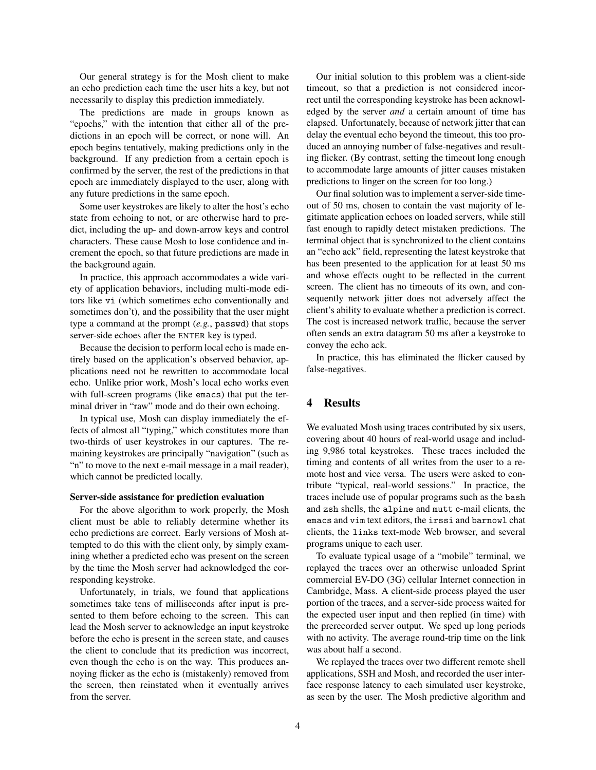Our general strategy is for the Mosh client to make an echo prediction each time the user hits a key, but not necessarily to display this prediction immediately.

The predictions are made in groups known as "epochs," with the intention that either all of the predictions in an epoch will be correct, or none will. An epoch begins tentatively, making predictions only in the background. If any prediction from a certain epoch is confirmed by the server, the rest of the predictions in that epoch are immediately displayed to the user, along with any future predictions in the same epoch.

Some user keystrokes are likely to alter the host's echo state from echoing to not, or are otherwise hard to predict, including the up- and down-arrow keys and control characters. These cause Mosh to lose confidence and increment the epoch, so that future predictions are made in the background again.

In practice, this approach accommodates a wide variety of application behaviors, including multi-mode editors like vi (which sometimes echo conventionally and sometimes don't), and the possibility that the user might type a command at the prompt (*e.g.*, passwd) that stops server-side echoes after the ENTER key is typed.

Because the decision to perform local echo is made entirely based on the application's observed behavior, applications need not be rewritten to accommodate local echo. Unlike prior work, Mosh's local echo works even with full-screen programs (like emacs) that put the terminal driver in "raw" mode and do their own echoing.

In typical use, Mosh can display immediately the effects of almost all "typing," which constitutes more than two-thirds of user keystrokes in our captures. The remaining keystrokes are principally "navigation" (such as "n" to move to the next e-mail message in a mail reader), which cannot be predicted locally.

### Server-side assistance for prediction evaluation

For the above algorithm to work properly, the Mosh client must be able to reliably determine whether its echo predictions are correct. Early versions of Mosh attempted to do this with the client only, by simply examining whether a predicted echo was present on the screen by the time the Mosh server had acknowledged the corresponding keystroke.

Unfortunately, in trials, we found that applications sometimes take tens of milliseconds after input is presented to them before echoing to the screen. This can lead the Mosh server to acknowledge an input keystroke before the echo is present in the screen state, and causes the client to conclude that its prediction was incorrect, even though the echo is on the way. This produces annoying flicker as the echo is (mistakenly) removed from the screen, then reinstated when it eventually arrives from the server.

Our initial solution to this problem was a client-side timeout, so that a prediction is not considered incorrect until the corresponding keystroke has been acknowledged by the server *and* a certain amount of time has elapsed. Unfortunately, because of network jitter that can delay the eventual echo beyond the timeout, this too produced an annoying number of false-negatives and resulting flicker. (By contrast, setting the timeout long enough to accommodate large amounts of jitter causes mistaken predictions to linger on the screen for too long.)

Our final solution was to implement a server-side timeout of 50 ms, chosen to contain the vast majority of legitimate application echoes on loaded servers, while still fast enough to rapidly detect mistaken predictions. The terminal object that is synchronized to the client contains an "echo ack" field, representing the latest keystroke that has been presented to the application for at least 50 ms and whose effects ought to be reflected in the current screen. The client has no timeouts of its own, and consequently network jitter does not adversely affect the client's ability to evaluate whether a prediction is correct. The cost is increased network traffic, because the server often sends an extra datagram 50 ms after a keystroke to convey the echo ack.

In practice, this has eliminated the flicker caused by false-negatives.

## 4 Results

We evaluated Mosh using traces contributed by six users, covering about 40 hours of real-world usage and including 9,986 total keystrokes. These traces included the timing and contents of all writes from the user to a remote host and vice versa. The users were asked to contribute "typical, real-world sessions." In practice, the traces include use of popular programs such as the bash and zsh shells, the alpine and mutt e-mail clients, the emacs and vim text editors, the irssi and barnowl chat clients, the links text-mode Web browser, and several programs unique to each user.

To evaluate typical usage of a "mobile" terminal, we replayed the traces over an otherwise unloaded Sprint commercial EV-DO (3G) cellular Internet connection in Cambridge, Mass. A client-side process played the user portion of the traces, and a server-side process waited for the expected user input and then replied (in time) with the prerecorded server output. We sped up long periods with no activity. The average round-trip time on the link was about half a second.

We replayed the traces over two different remote shell applications, SSH and Mosh, and recorded the user interface response latency to each simulated user keystroke, as seen by the user. The Mosh predictive algorithm and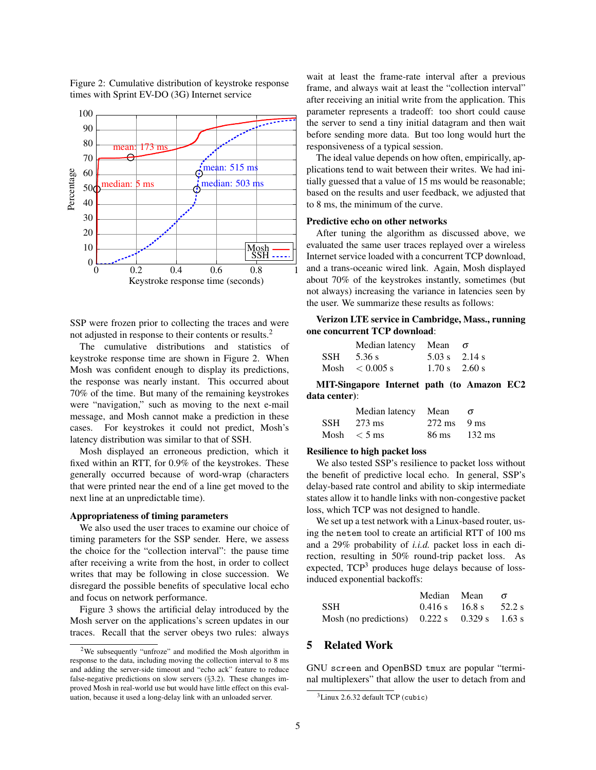

SSP were frozen prior to collecting the traces and were not adjusted in response to their contents or results.<sup>2</sup>

The cumulative distributions and statistics of keystroke response time are shown in Figure 2. When Mosh was confident enough to display its predictions, the response was nearly instant. This occurred about 70% of the time. But many of the remaining keystrokes were "navigation," such as moving to the next e-mail message, and Mosh cannot make a prediction in these cases. For keystrokes it could not predict, Mosh's latency distribution was similar to that of SSH.

Mosh displayed an erroneous prediction, which it fixed within an RTT, for 0.9% of the keystrokes. These generally occurred because of word-wrap (characters that were printed near the end of a line get moved to the next line at an unpredictable time).

#### Appropriateness of timing parameters

We also used the user traces to examine our choice of timing parameters for the SSP sender. Here, we assess the choice for the "collection interval": the pause time after receiving a write from the host, in order to collect writes that may be following in close succession. We disregard the possible benefits of speculative local echo and focus on network performance.

Figure 3 shows the artificial delay introduced by the Mosh server on the applications's screen updates in our traces. Recall that the server obeys two rules: always wait at least the frame-rate interval after a previous frame, and always wait at least the "collection interval" after receiving an initial write from the application. This parameter represents a tradeoff: too short could cause the server to send a tiny initial datagram and then wait before sending more data. But too long would hurt the responsiveness of a typical session.

The ideal value depends on how often, empirically, applications tend to wait between their writes. We had initially guessed that a value of 15 ms would be reasonable; based on the results and user feedback, we adjusted that to 8 ms, the minimum of the curve.

#### Predictive echo on other networks

After tuning the algorithm as discussed above, we evaluated the same user traces replayed over a wireless Internet service loaded with a concurrent TCP download, and a trans-oceanic wired link. Again, Mosh displayed about 70% of the keystrokes instantly, sometimes (but not always) increasing the variance in latencies seen by the user. We summarize these results as follows:

Verizon LTE service in Cambridge, Mass., running one concurrent TCP download:

| Median latency Mean $\sigma$ |                         |                 |
|------------------------------|-------------------------|-----------------|
| $SSH = 5.36$ s               | $5.03 \text{ s}$ 2.14 s |                 |
| Mosh $\leq 0.005$ s          |                         | $1.70 s$ 2.60 s |

MIT-Singapore Internet path (to Amazon EC2 data center):

| Median latency Mean |                       |  |
|---------------------|-----------------------|--|
| $SSH = 273$ ms      | $272 \text{ ms}$ 9 ms |  |
| Mosh $<$ 5 ms       | 86 ms 132 ms          |  |

### Resilience to high packet loss

We also tested SSP's resilience to packet loss without the benefit of predictive local echo. In general, SSP's delay-based rate control and ability to skip intermediate states allow it to handle links with non-congestive packet loss, which TCP was not designed to handle.

We set up a test network with a Linux-based router, using the netem tool to create an artificial RTT of 100 ms and a 29% probability of *i.i.d.* packet loss in each direction, resulting in 50% round-trip packet loss. As expected,  $TCP<sup>3</sup>$  produces huge delays because of lossinduced exponential backoffs:

|                                                | Median Mean                 | $\sigma$ |
|------------------------------------------------|-----------------------------|----------|
| <b>SSH</b>                                     | $0.416 s$ $16.8 s$ $52.2 s$ |          |
| Mosh (no predictions) $0.222 s$ 0.329 s 1.63 s |                             |          |

# 5 Related Work

GNU screen and OpenBSD tmux are popular "terminal multiplexers" that allow the user to detach from and

### Figure 2: Cumulative distribution of keystroke response times with Sprint EV-DO (3G) Internet service

<sup>2</sup>We subsequently "unfroze" and modified the Mosh algorithm in response to the data, including moving the collection interval to 8 ms and adding the server-side timeout and "echo ack" feature to reduce false-negative predictions on slow servers (§3.2). These changes improved Mosh in real-world use but would have little effect on this evaluation, because it used a long-delay link with an unloaded server.

 $3$ Linux 2.6.32 default TCP (cubic)